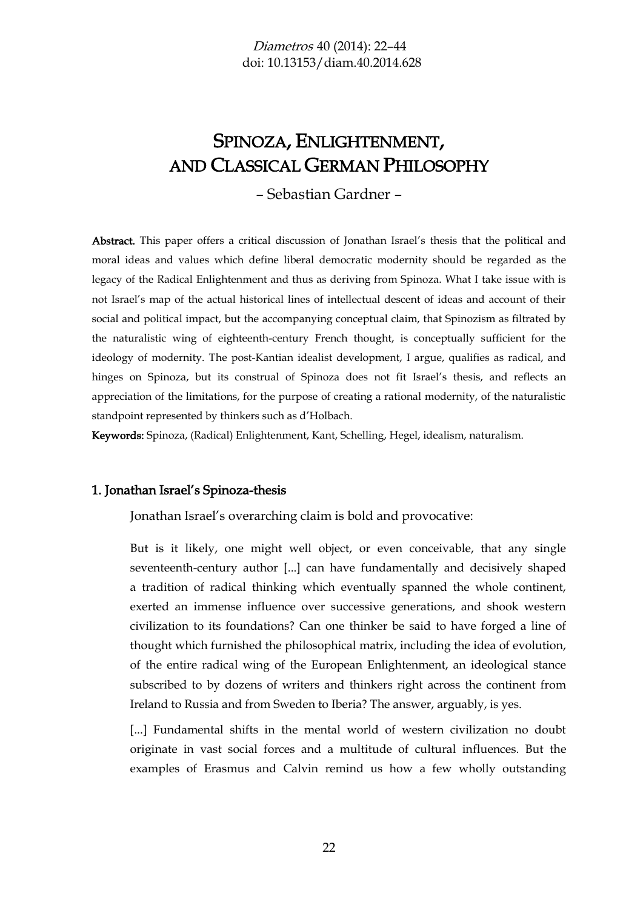# SPINOZA, ENLIGHTENMENT, AND CLASSICAL GERMAN PHILOSOPHY

– Sebastian Gardner –

Abstract. This paper offers a critical discussion of Jonathan Israel's thesis that the political and moral ideas and values which define liberal democratic modernity should be regarded as the legacy of the Radical Enlightenment and thus as deriving from Spinoza. What I take issue with is not Israel's map of the actual historical lines of intellectual descent of ideas and account of their social and political impact, but the accompanying conceptual claim, that Spinozism as filtrated by the naturalistic wing of eighteenth-century French thought, is conceptually sufficient for the ideology of modernity. The post-Kantian idealist development, I argue, qualifies as radical, and hinges on Spinoza, but its construal of Spinoza does not fit Israel's thesis, and reflects an appreciation of the limitations, for the purpose of creating a rational modernity, of the naturalistic standpoint represented by thinkers such as d'Holbach.

Keywords: Spinoza, (Radical) Enlightenment, Kant, Schelling, Hegel, idealism, naturalism.

#### 1. Jonathan Israel's Spinoza-thesis

Jonathan Israel's overarching claim is bold and provocative:

But is it likely, one might well object, or even conceivable, that any single seventeenth-century author [...] can have fundamentally and decisively shaped a tradition of radical thinking which eventually spanned the whole continent, exerted an immense influence over successive generations, and shook western civilization to its foundations? Can one thinker be said to have forged a line of thought which furnished the philosophical matrix, including the idea of evolution, of the entire radical wing of the European Enlightenment, an ideological stance subscribed to by dozens of writers and thinkers right across the continent from Ireland to Russia and from Sweden to Iberia? The answer, arguably, is yes.

[...] Fundamental shifts in the mental world of western civilization no doubt originate in vast social forces and a multitude of cultural influences. But the examples of Erasmus and Calvin remind us how a few wholly outstanding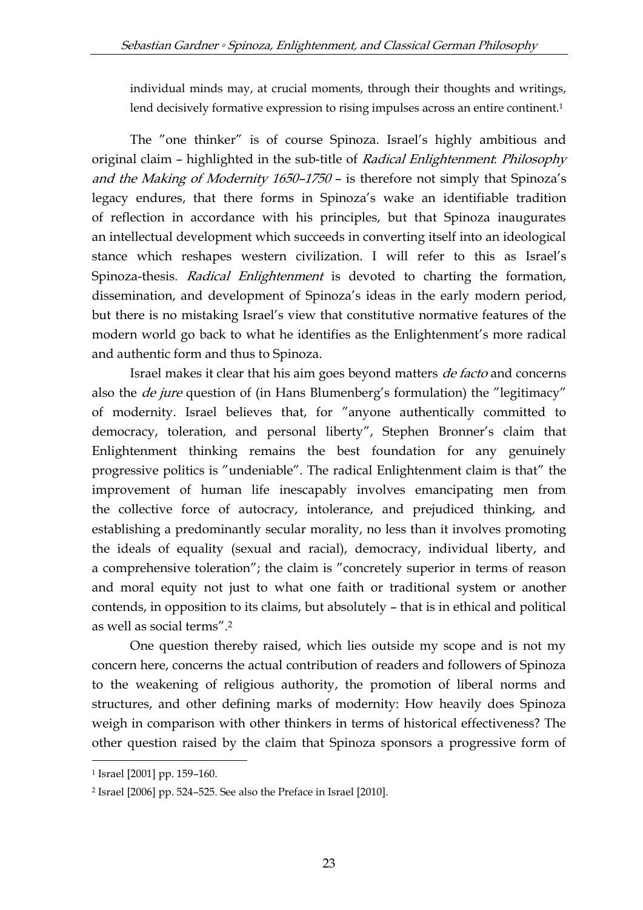individual minds may, at crucial moments, through their thoughts and writings, lend decisively formative expression to rising impulses across an entire continent.<sup>1</sup>

The "one thinker" is of course Spinoza. Israel's highly ambitious and original claim – highlighted in the sub-title of Radical Enlightenment: Philosophy and the Making of Modernity 1650–<sup>1750</sup> – is therefore not simply that Spinoza's legacy endures, that there forms in Spinoza's wake an identifiable tradition of reflection in accordance with his principles, but that Spinoza inaugurates an intellectual development which succeeds in converting itself into an ideological stance which reshapes western civilization. I will refer to this as Israel's Spinoza-thesis. Radical Enlightenment is devoted to charting the formation, dissemination, and development of Spinoza's ideas in the early modern period, but there is no mistaking Israel's view that constitutive normative features of the modern world go back to what he identifies as the Enlightenment's more radical and authentic form and thus to Spinoza.

Israel makes it clear that his aim goes beyond matters de facto and concerns also the *de jure* question of (in Hans Blumenberg's formulation) the "legitimacy" of modernity. Israel believes that, for "anyone authentically committed to democracy, toleration, and personal liberty", Stephen Bronner's claim that Enlightenment thinking remains the best foundation for any genuinely progressive politics is "undeniable". The radical Enlightenment claim is that" the improvement of human life inescapably involves emancipating men from the collective force of autocracy, intolerance, and prejudiced thinking, and establishing a predominantly secular morality, no less than it involves promoting the ideals of equality (sexual and racial), democracy, individual liberty, and a comprehensive toleration"; the claim is "concretely superior in terms of reason and moral equity not just to what one faith or traditional system or another contends, in opposition to its claims, but absolutely – that is in ethical and political as well as social terms". 2

One question thereby raised, which lies outside my scope and is not my concern here, concerns the actual contribution of readers and followers of Spinoza to the weakening of religious authority, the promotion of liberal norms and structures, and other defining marks of modernity: How heavily does Spinoza weigh in comparison with other thinkers in terms of historical effectiveness? The other question raised by the claim that Spinoza sponsors a progressive form of

<sup>1</sup> Israel [2001] pp. 159–160.

<sup>2</sup> Israel [2006] pp. 524–525. See also the Preface in Israel [2010].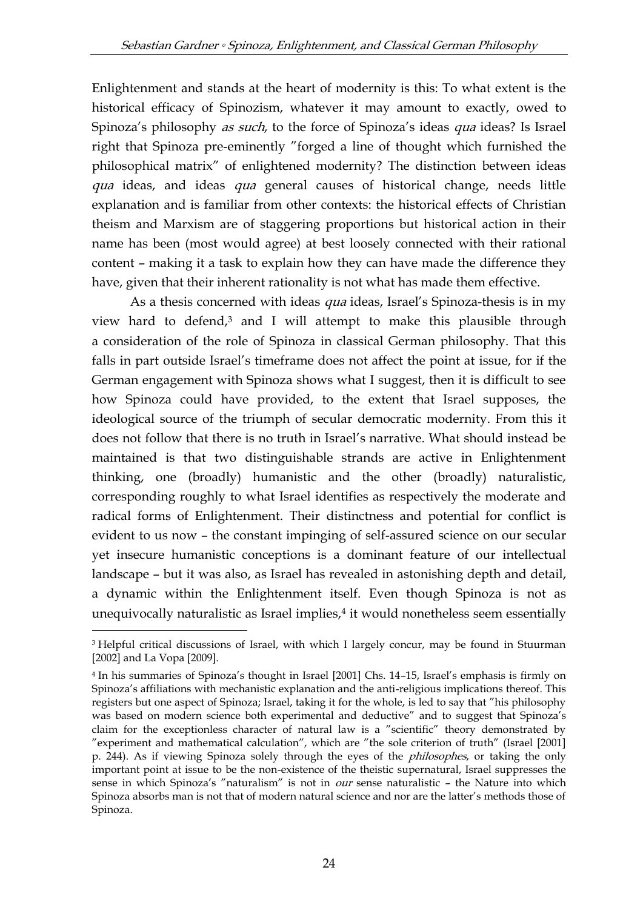Enlightenment and stands at the heart of modernity is this: To what extent is the historical efficacy of Spinozism, whatever it may amount to exactly, owed to Spinoza's philosophy *as such*, to the force of Spinoza's ideas *qua* ideas? Is Israel right that Spinoza pre-eminently "forged a line of thought which furnished the philosophical matrix" of enlightened modernity? The distinction between ideas qua ideas, and ideas qua general causes of historical change, needs little explanation and is familiar from other contexts: the historical effects of Christian theism and Marxism are of staggering proportions but historical action in their name has been (most would agree) at best loosely connected with their rational content – making it a task to explain how they can have made the difference they have, given that their inherent rationality is not what has made them effective.

As a thesis concerned with ideas *qua* ideas, Israel's Spinoza-thesis is in my view hard to defend,<sup>3</sup> and I will attempt to make this plausible through a consideration of the role of Spinoza in classical German philosophy. That this falls in part outside Israel's timeframe does not affect the point at issue, for if the German engagement with Spinoza shows what I suggest, then it is difficult to see how Spinoza could have provided, to the extent that Israel supposes, the ideological source of the triumph of secular democratic modernity. From this it does not follow that there is no truth in Israel's narrative. What should instead be maintained is that two distinguishable strands are active in Enlightenment thinking, one (broadly) humanistic and the other (broadly) naturalistic, corresponding roughly to what Israel identifies as respectively the moderate and radical forms of Enlightenment. Their distinctness and potential for conflict is evident to us now – the constant impinging of self-assured science on our secular yet insecure humanistic conceptions is a dominant feature of our intellectual landscape – but it was also, as Israel has revealed in astonishing depth and detail, a dynamic within the Enlightenment itself. Even though Spinoza is not as unequivocally naturalistic as Israel implies,<sup>4</sup> it would nonetheless seem essentially

<sup>&</sup>lt;sup>3</sup> Helpful critical discussions of Israel, with which I largely concur, may be found in Stuurman [2002] and La Vopa [2009].

<sup>4</sup> In his summaries of Spinoza's thought in Israel [2001] Chs. 14–15, Israel's emphasis is firmly on Spinoza's affiliations with mechanistic explanation and the anti-religious implications thereof. This registers but one aspect of Spinoza; Israel, taking it for the whole, is led to say that "his philosophy was based on modern science both experimental and deductive" and to suggest that Spinoza's claim for the exceptionless character of natural law is a "scientific" theory demonstrated by "experiment and mathematical calculation", which are "the sole criterion of truth" (Israel [2001] p. 244). As if viewing Spinoza solely through the eyes of the philosophes, or taking the only important point at issue to be the non-existence of the theistic supernatural, Israel suppresses the sense in which Spinoza's "naturalism" is not in our sense naturalistic - the Nature into which Spinoza absorbs man is not that of modern natural science and nor are the latter's methods those of Spinoza.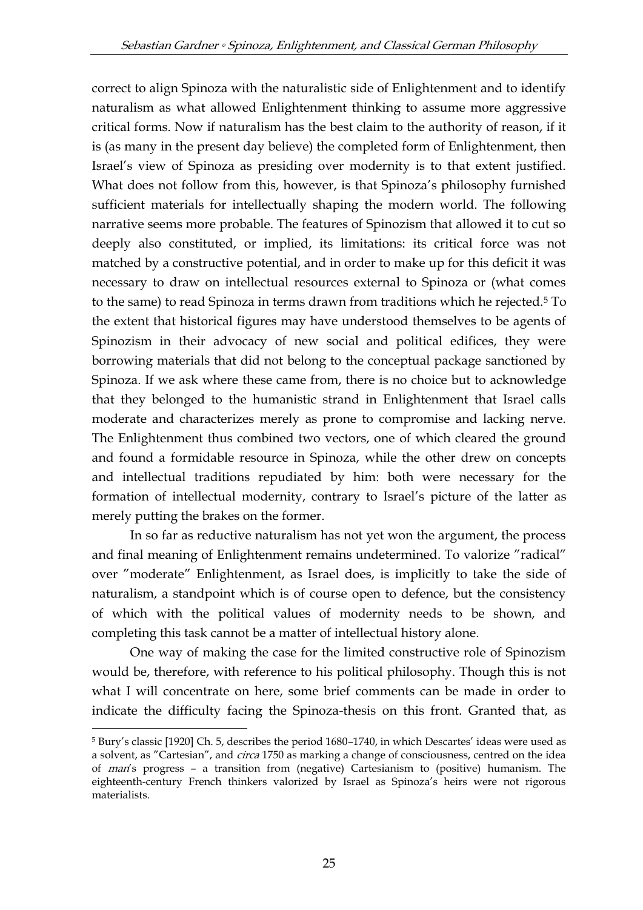correct to align Spinoza with the naturalistic side of Enlightenment and to identify naturalism as what allowed Enlightenment thinking to assume more aggressive critical forms. Now if naturalism has the best claim to the authority of reason, if it is (as many in the present day believe) the completed form of Enlightenment, then Israel's view of Spinoza as presiding over modernity is to that extent justified. What does not follow from this, however, is that Spinoza's philosophy furnished sufficient materials for intellectually shaping the modern world. The following narrative seems more probable. The features of Spinozism that allowed it to cut so deeply also constituted, or implied, its limitations: its critical force was not matched by a constructive potential, and in order to make up for this deficit it was necessary to draw on intellectual resources external to Spinoza or (what comes to the same) to read Spinoza in terms drawn from traditions which he rejected.<sup>5</sup> To the extent that historical figures may have understood themselves to be agents of Spinozism in their advocacy of new social and political edifices, they were borrowing materials that did not belong to the conceptual package sanctioned by Spinoza. If we ask where these came from, there is no choice but to acknowledge that they belonged to the humanistic strand in Enlightenment that Israel calls moderate and characterizes merely as prone to compromise and lacking nerve. The Enlightenment thus combined two vectors, one of which cleared the ground and found a formidable resource in Spinoza, while the other drew on concepts and intellectual traditions repudiated by him: both were necessary for the formation of intellectual modernity, contrary to Israel's picture of the latter as merely putting the brakes on the former.

In so far as reductive naturalism has not yet won the argument, the process and final meaning of Enlightenment remains undetermined. To valorize "radical" over "moderate" Enlightenment, as Israel does, is implicitly to take the side of naturalism, a standpoint which is of course open to defence, but the consistency of which with the political values of modernity needs to be shown, and completing this task cannot be a matter of intellectual history alone.

One way of making the case for the limited constructive role of Spinozism would be, therefore, with reference to his political philosophy. Though this is not what I will concentrate on here, some brief comments can be made in order to indicate the difficulty facing the Spinoza-thesis on this front. Granted that, as

<sup>5</sup> Bury's classic [1920] Ch. 5, describes the period 1680–1740, in which Descartes' ideas were used as a solvent, as "Cartesian", and *circa* 1750 as marking a change of consciousness, centred on the idea of man's progress – a transition from (negative) Cartesianism to (positive) humanism. The eighteenth-century French thinkers valorized by Israel as Spinoza's heirs were not rigorous materialists.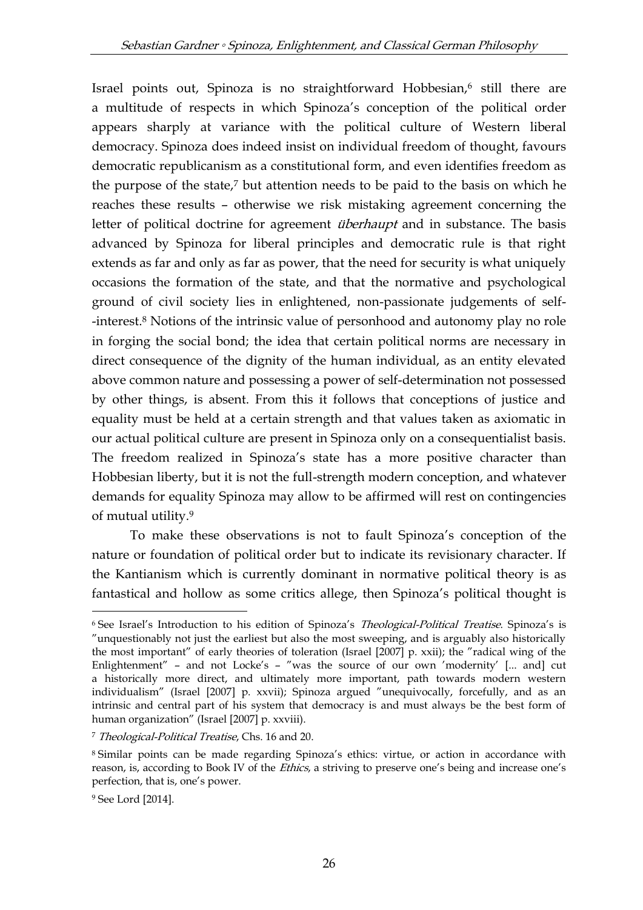Israel points out, Spinoza is no straightforward Hobbesian,<sup>6</sup> still there are a multitude of respects in which Spinoza's conception of the political order appears sharply at variance with the political culture of Western liberal democracy. Spinoza does indeed insist on individual freedom of thought, favours democratic republicanism as a constitutional form, and even identifies freedom as the purpose of the state,<sup>7</sup> but attention needs to be paid to the basis on which he reaches these results – otherwise we risk mistaking agreement concerning the letter of political doctrine for agreement *überhaupt* and in substance. The basis advanced by Spinoza for liberal principles and democratic rule is that right extends as far and only as far as power, that the need for security is what uniquely occasions the formation of the state, and that the normative and psychological ground of civil society lies in enlightened, non-passionate judgements of self- -interest.<sup>8</sup> Notions of the intrinsic value of personhood and autonomy play no role in forging the social bond; the idea that certain political norms are necessary in direct consequence of the dignity of the human individual, as an entity elevated above common nature and possessing a power of self-determination not possessed by other things, is absent. From this it follows that conceptions of justice and equality must be held at a certain strength and that values taken as axiomatic in our actual political culture are present in Spinoza only on a consequentialist basis. The freedom realized in Spinoza's state has a more positive character than Hobbesian liberty, but it is not the full-strength modern conception, and whatever demands for equality Spinoza may allow to be affirmed will rest on contingencies of mutual utility.<sup>9</sup>

To make these observations is not to fault Spinoza's conception of the nature or foundation of political order but to indicate its revisionary character. If the Kantianism which is currently dominant in normative political theory is as fantastical and hollow as some critics allege, then Spinoza's political thought is

<sup>&</sup>lt;sup>6</sup> See Israel's Introduction to his edition of Spinoza's *Theological-Political Treatise*. Spinoza's is "unquestionably not just the earliest but also the most sweeping, and is arguably also historically the most important" of early theories of toleration (Israel [2007] p. xxii); the "radical wing of the Enlightenment" – and not Locke's – "was the source of our own 'modernity' [... and] cut a historically more direct, and ultimately more important, path towards modern western individualism" (Israel [2007] p. xxvii); Spinoza argued "unequivocally, forcefully, and as an intrinsic and central part of his system that democracy is and must always be the best form of human organization" (Israel [2007] p. xxviii).

<sup>&</sup>lt;sup>7</sup> Theological-Political Treatise, Chs. 16 and 20.

<sup>8</sup> Similar points can be made regarding Spinoza's ethics: virtue, or action in accordance with reason, is, according to Book IV of the *Ethics*, a striving to preserve one's being and increase one's perfection, that is, one's power.

<sup>9</sup> See Lord [2014].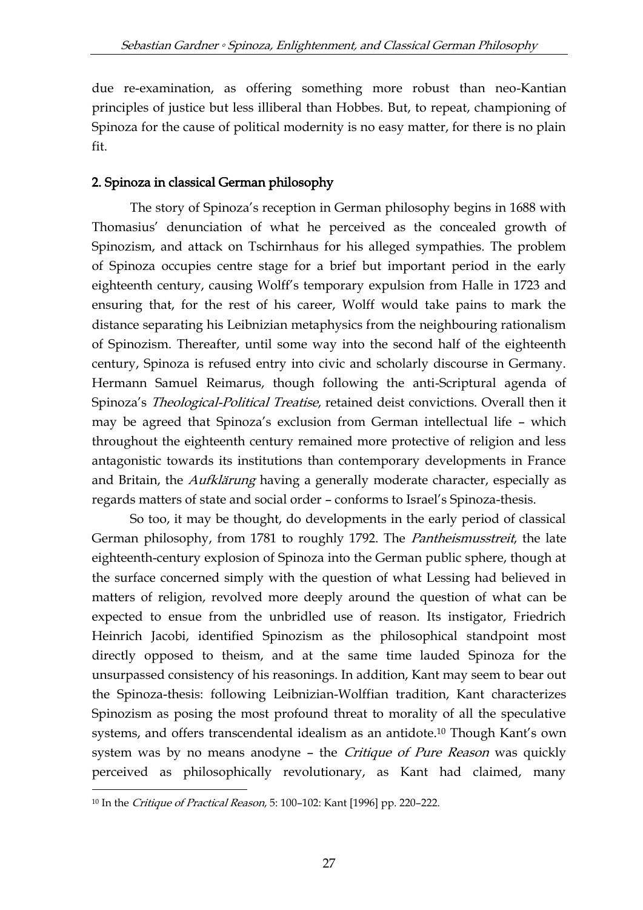due re-examination, as offering something more robust than neo-Kantian principles of justice but less illiberal than Hobbes. But, to repeat, championing of Spinoza for the cause of political modernity is no easy matter, for there is no plain fit.

# 2. Spinoza in classical German philosophy

The story of Spinoza's reception in German philosophy begins in 1688 with Thomasius' denunciation of what he perceived as the concealed growth of Spinozism, and attack on Tschirnhaus for his alleged sympathies. The problem of Spinoza occupies centre stage for a brief but important period in the early eighteenth century, causing Wolff's temporary expulsion from Halle in 1723 and ensuring that, for the rest of his career, Wolff would take pains to mark the distance separating his Leibnizian metaphysics from the neighbouring rationalism of Spinozism. Thereafter, until some way into the second half of the eighteenth century, Spinoza is refused entry into civic and scholarly discourse in Germany. Hermann Samuel Reimarus, though following the anti-Scriptural agenda of Spinoza's Theological-Political Treatise, retained deist convictions. Overall then it may be agreed that Spinoza's exclusion from German intellectual life – which throughout the eighteenth century remained more protective of religion and less antagonistic towards its institutions than contemporary developments in France and Britain, the *Aufklärung* having a generally moderate character, especially as regards matters of state and social order – conforms to Israel's Spinoza-thesis.

So too, it may be thought, do developments in the early period of classical German philosophy, from 1781 to roughly 1792. The Pantheismusstreit, the late eighteenth-century explosion of Spinoza into the German public sphere, though at the surface concerned simply with the question of what Lessing had believed in matters of religion, revolved more deeply around the question of what can be expected to ensue from the unbridled use of reason. Its instigator, Friedrich Heinrich Jacobi, identified Spinozism as the philosophical standpoint most directly opposed to theism, and at the same time lauded Spinoza for the unsurpassed consistency of his reasonings. In addition, Kant may seem to bear out the Spinoza-thesis: following Leibnizian-Wolffian tradition, Kant characterizes Spinozism as posing the most profound threat to morality of all the speculative systems, and offers transcendental idealism as an antidote.<sup>10</sup> Though Kant's own system was by no means anodyne - the Critique of Pure Reason was quickly perceived as philosophically revolutionary, as Kant had claimed, many

<sup>&</sup>lt;sup>10</sup> In the *Critique of Practical Reason*, 5: 100-102: Kant [1996] pp. 220-222.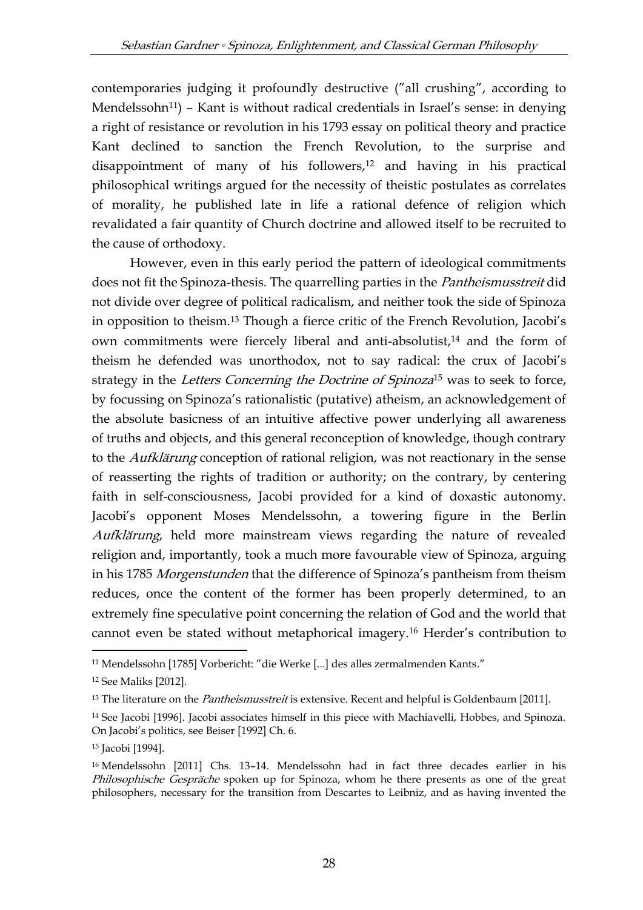contemporaries judging it profoundly destructive ("all crushing", according to Mendelssohn<sup>11</sup>) – Kant is without radical credentials in Israel's sense: in denying a right of resistance or revolution in his 1793 essay on political theory and practice Kant declined to sanction the French Revolution, to the surprise and disappointment of many of his followers,<sup>12</sup> and having in his practical philosophical writings argued for the necessity of theistic postulates as correlates of morality, he published late in life a rational defence of religion which revalidated a fair quantity of Church doctrine and allowed itself to be recruited to the cause of orthodoxy.

However, even in this early period the pattern of ideological commitments does not fit the Spinoza-thesis. The quarrelling parties in the Pantheismusstreit did not divide over degree of political radicalism, and neither took the side of Spinoza in opposition to theism.<sup>13</sup> Though a fierce critic of the French Revolution, Jacobi's own commitments were fiercely liberal and anti-absolutist,<sup>14</sup> and the form of theism he defended was unorthodox, not to say radical: the crux of Jacobi's strategy in the Letters Concerning the Doctrine of Spinoza<sup>15</sup> was to seek to force, by focussing on Spinoza's rationalistic (putative) atheism, an acknowledgement of the absolute basicness of an intuitive affective power underlying all awareness of truths and objects, and this general reconception of knowledge, though contrary to the Aufklärung conception of rational religion, was not reactionary in the sense of reasserting the rights of tradition or authority; on the contrary, by centering faith in self-consciousness, Jacobi provided for a kind of doxastic autonomy. Jacobi's opponent Moses Mendelssohn, a towering figure in the Berlin Aufklärung, held more mainstream views regarding the nature of revealed religion and, importantly, took a much more favourable view of Spinoza, arguing in his 1785 Morgenstunden that the difference of Spinoza's pantheism from theism reduces, once the content of the former has been properly determined, to an extremely fine speculative point concerning the relation of God and the world that cannot even be stated without metaphorical imagery.<sup>16</sup> Herder's contribution to

<sup>-</sup><sup>11</sup> Mendelssohn [1785] Vorbericht: "die Werke [...] des alles zermalmenden Kants."

<sup>12</sup> See Maliks [2012].

<sup>&</sup>lt;sup>13</sup> The literature on the *Pantheismusstreit* is extensive. Recent and helpful is Goldenbaum [2011].

<sup>&</sup>lt;sup>14</sup> See Jacobi [1996]. Jacobi associates himself in this piece with Machiavelli, Hobbes, and Spinoza. On Jacobi's politics, see Beiser [1992] Ch. 6.

<sup>15</sup> Jacobi [1994].

<sup>16</sup> Mendelssohn [2011] Chs. 13–14. Mendelssohn had in fact three decades earlier in his Philosophische Gespräche spoken up for Spinoza, whom he there presents as one of the great philosophers, necessary for the transition from Descartes to Leibniz, and as having invented the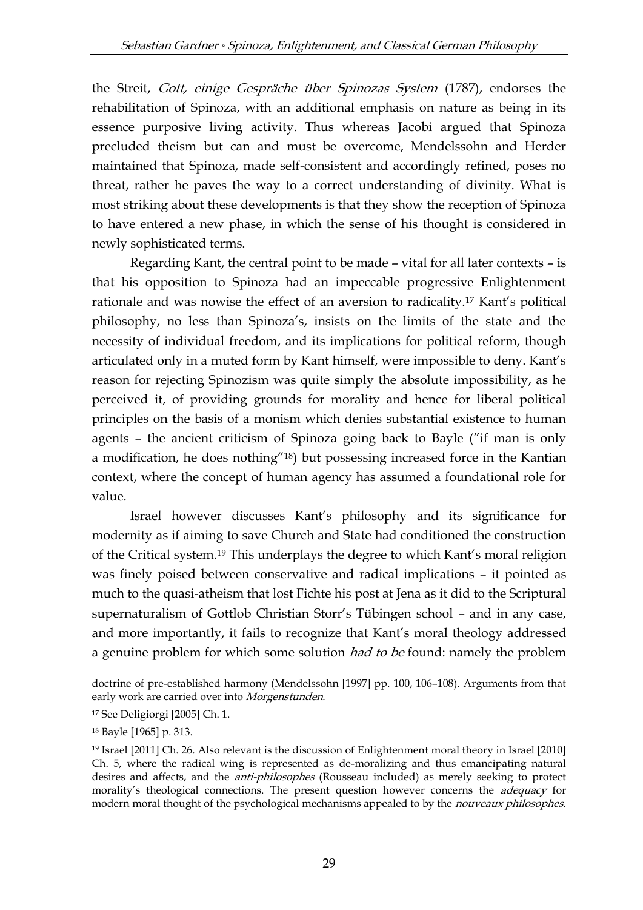the Streit, Gott, einige Gespräche über Spinozas System (1787), endorses the rehabilitation of Spinoza, with an additional emphasis on nature as being in its essence purposive living activity. Thus whereas Jacobi argued that Spinoza precluded theism but can and must be overcome, Mendelssohn and Herder maintained that Spinoza, made self-consistent and accordingly refined, poses no threat, rather he paves the way to a correct understanding of divinity. What is most striking about these developments is that they show the reception of Spinoza to have entered a new phase, in which the sense of his thought is considered in newly sophisticated terms.

Regarding Kant, the central point to be made – vital for all later contexts – is that his opposition to Spinoza had an impeccable progressive Enlightenment rationale and was nowise the effect of an aversion to radicality.<sup>17</sup> Kant's political philosophy, no less than Spinoza's, insists on the limits of the state and the necessity of individual freedom, and its implications for political reform, though articulated only in a muted form by Kant himself, were impossible to deny. Kant's reason for rejecting Spinozism was quite simply the absolute impossibility, as he perceived it, of providing grounds for morality and hence for liberal political principles on the basis of a monism which denies substantial existence to human agents – the ancient criticism of Spinoza going back to Bayle ("if man is only a modification, he does nothing"18) but possessing increased force in the Kantian context, where the concept of human agency has assumed a foundational role for value.

Israel however discusses Kant's philosophy and its significance for modernity as if aiming to save Church and State had conditioned the construction of the Critical system.<sup>19</sup> This underplays the degree to which Kant's moral religion was finely poised between conservative and radical implications – it pointed as much to the quasi-atheism that lost Fichte his post at Jena as it did to the Scriptural supernaturalism of Gottlob Christian Storr's Tübingen school – and in any case, and more importantly, it fails to recognize that Kant's moral theology addressed a genuine problem for which some solution *had to be* found: namely the problem

doctrine of pre-established harmony (Mendelssohn [1997] pp. 100, 106–108). Arguments from that early work are carried over into Morgenstunden.

<sup>17</sup> See Deligiorgi [2005] Ch. 1.

<sup>18</sup> Bayle [1965] p. 313.

<sup>19</sup> Israel [2011] Ch. 26. Also relevant is the discussion of Enlightenment moral theory in Israel [2010] Ch. 5, where the radical wing is represented as de-moralizing and thus emancipating natural desires and affects, and the *anti-philosophes* (Rousseau included) as merely seeking to protect morality's theological connections. The present question however concerns the *adequacy* for modern moral thought of the psychological mechanisms appealed to by the *nouveaux philosophes*.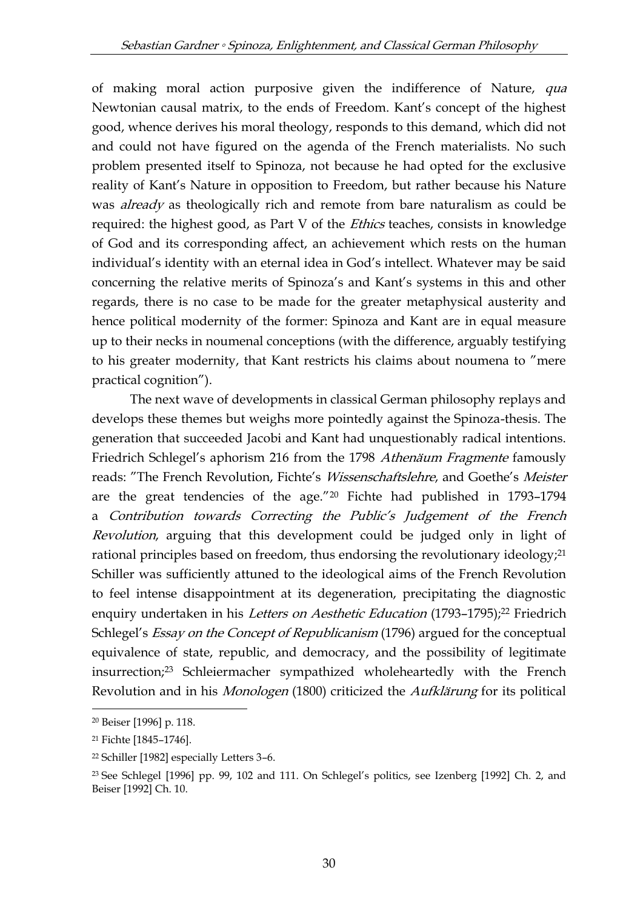of making moral action purposive given the indifference of Nature, qua Newtonian causal matrix, to the ends of Freedom. Kant's concept of the highest good, whence derives his moral theology, responds to this demand, which did not and could not have figured on the agenda of the French materialists. No such problem presented itself to Spinoza, not because he had opted for the exclusive reality of Kant's Nature in opposition to Freedom, but rather because his Nature was *already* as theologically rich and remote from bare naturalism as could be required: the highest good, as Part V of the *Ethics* teaches, consists in knowledge of God and its corresponding affect, an achievement which rests on the human individual's identity with an eternal idea in God's intellect. Whatever may be said concerning the relative merits of Spinoza's and Kant's systems in this and other regards, there is no case to be made for the greater metaphysical austerity and hence political modernity of the former: Spinoza and Kant are in equal measure up to their necks in noumenal conceptions (with the difference, arguably testifying to his greater modernity, that Kant restricts his claims about noumena to "mere practical cognition").

The next wave of developments in classical German philosophy replays and develops these themes but weighs more pointedly against the Spinoza-thesis. The generation that succeeded Jacobi and Kant had unquestionably radical intentions. Friedrich Schlegel's aphorism 216 from the 1798 Athenäum Fragmente famously reads: "The French Revolution, Fichte's Wissenschaftslehre, and Goethe's Meister are the great tendencies of the age."<sup>20</sup> Fichte had published in 1793–1794 a Contribution towards Correcting the Public's Judgement of the French Revolution, arguing that this development could be judged only in light of rational principles based on freedom, thus endorsing the revolutionary ideology;<sup>21</sup> Schiller was sufficiently attuned to the ideological aims of the French Revolution to feel intense disappointment at its degeneration, precipitating the diagnostic enquiry undertaken in his Letters on Aesthetic Education (1793-1795);<sup>22</sup> Friedrich Schlegel's *Essay on the Concept of Republicanism* (1796) argued for the conceptual equivalence of state, republic, and democracy, and the possibility of legitimate insurrection;<sup>23</sup> Schleiermacher sympathized wholeheartedly with the French Revolution and in his Monologen (1800) criticized the Aufklärung for its political

<sup>20</sup> Beiser [1996] p. 118.

<sup>21</sup> Fichte [1845–1746].

<sup>22</sup> Schiller [1982] especially Letters 3–6.

<sup>23</sup> See Schlegel [1996] pp. 99, 102 and 111. On Schlegel's politics, see Izenberg [1992] Ch. 2, and Beiser [1992] Ch. 10.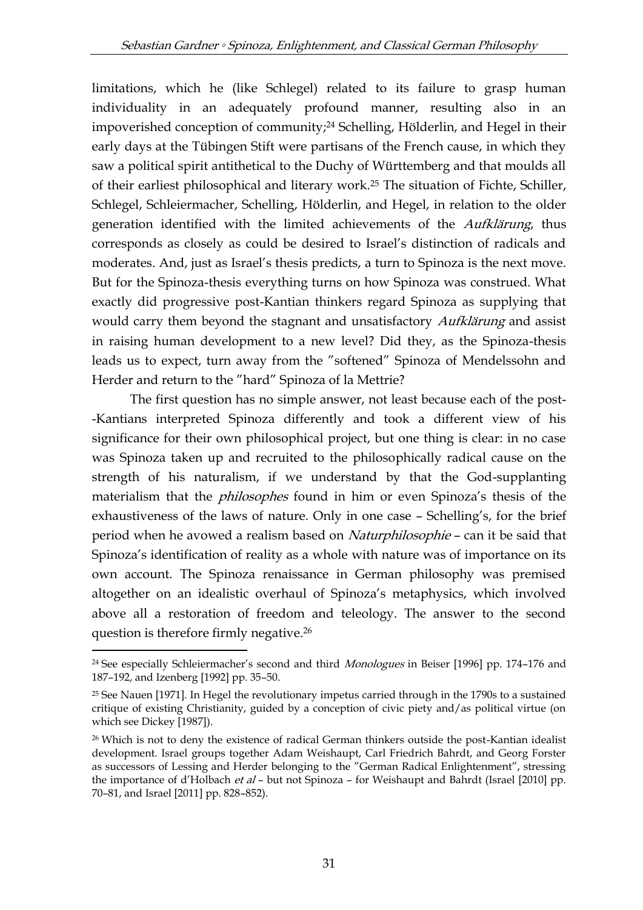limitations, which he (like Schlegel) related to its failure to grasp human individuality in an adequately profound manner, resulting also in an impoverished conception of community;<sup>24</sup> Schelling, Hölderlin, and Hegel in their early days at the Tübingen Stift were partisans of the French cause, in which they saw a political spirit antithetical to the Duchy of Württemberg and that moulds all of their earliest philosophical and literary work.<sup>25</sup> The situation of Fichte, Schiller, Schlegel, Schleiermacher, Schelling, Hölderlin, and Hegel, in relation to the older generation identified with the limited achievements of the Aufklärung, thus corresponds as closely as could be desired to Israel's distinction of radicals and moderates. And, just as Israel's thesis predicts, a turn to Spinoza is the next move. But for the Spinoza-thesis everything turns on how Spinoza was construed. What exactly did progressive post-Kantian thinkers regard Spinoza as supplying that would carry them beyond the stagnant and unsatisfactory Aufklärung and assist in raising human development to a new level? Did they, as the Spinoza-thesis leads us to expect, turn away from the "softened" Spinoza of Mendelssohn and Herder and return to the "hard" Spinoza of la Mettrie?

The first question has no simple answer, not least because each of the post- -Kantians interpreted Spinoza differently and took a different view of his significance for their own philosophical project, but one thing is clear: in no case was Spinoza taken up and recruited to the philosophically radical cause on the strength of his naturalism, if we understand by that the God-supplanting materialism that the *philosophes* found in him or even Spinoza's thesis of the exhaustiveness of the laws of nature. Only in one case – Schelling's, for the brief period when he avowed a realism based on Naturphilosophie - can it be said that Spinoza's identification of reality as a whole with nature was of importance on its own account. The Spinoza renaissance in German philosophy was premised altogether on an idealistic overhaul of Spinoza's metaphysics, which involved above all a restoration of freedom and teleology. The answer to the second question is therefore firmly negative.<sup>26</sup>

<sup>&</sup>lt;sup>24</sup> See especially Schleiermacher's second and third *Monologues* in Beiser [1996] pp. 174–176 and 187–192, and Izenberg [1992] pp. 35–50.

<sup>25</sup> See Nauen [1971]. In Hegel the revolutionary impetus carried through in the 1790s to a sustained critique of existing Christianity, guided by a conception of civic piety and/as political virtue (on which see Dickey [1987]).

<sup>&</sup>lt;sup>26</sup> Which is not to deny the existence of radical German thinkers outside the post-Kantian idealist development. Israel groups together Adam Weishaupt, Carl Friedrich Bahrdt, and Georg Forster as successors of Lessing and Herder belonging to the "German Radical Enlightenment", stressing the importance of d'Holbach et al - but not Spinoza - for Weishaupt and Bahrdt (Israel [2010] pp. 70–81, and Israel [2011] pp. 828–852).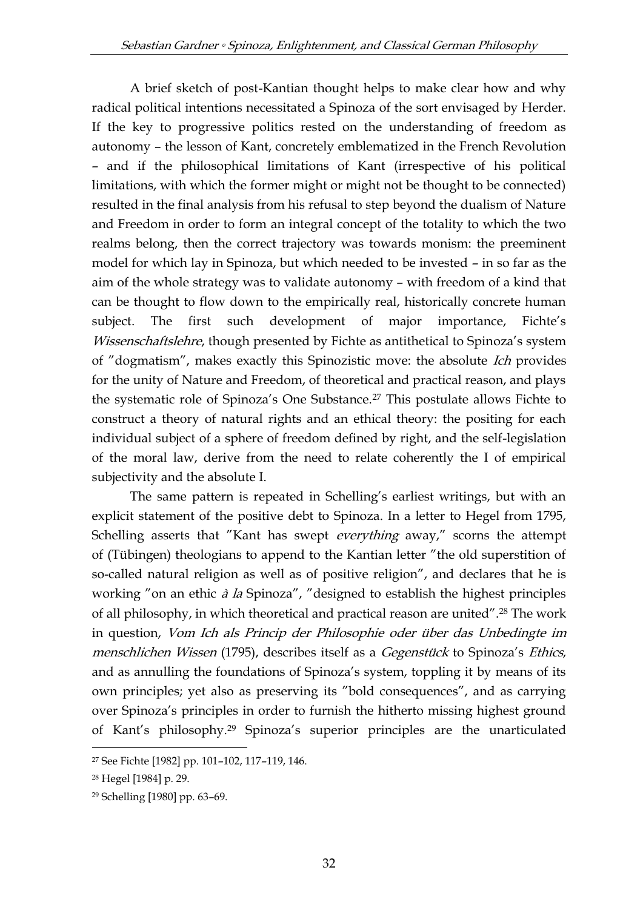A brief sketch of post-Kantian thought helps to make clear how and why radical political intentions necessitated a Spinoza of the sort envisaged by Herder. If the key to progressive politics rested on the understanding of freedom as autonomy – the lesson of Kant, concretely emblematized in the French Revolution – and if the philosophical limitations of Kant (irrespective of his political limitations, with which the former might or might not be thought to be connected) resulted in the final analysis from his refusal to step beyond the dualism of Nature and Freedom in order to form an integral concept of the totality to which the two realms belong, then the correct trajectory was towards monism: the preeminent model for which lay in Spinoza, but which needed to be invested – in so far as the aim of the whole strategy was to validate autonomy – with freedom of a kind that can be thought to flow down to the empirically real, historically concrete human subject. The first such development of major importance, Fichte's Wissenschaftslehre, though presented by Fichte as antithetical to Spinoza's system of "dogmatism", makes exactly this Spinozistic move: the absolute Ich provides for the unity of Nature and Freedom, of theoretical and practical reason, and plays the systematic role of Spinoza's One Substance.<sup>27</sup> This postulate allows Fichte to construct a theory of natural rights and an ethical theory: the positing for each individual subject of a sphere of freedom defined by right, and the self-legislation of the moral law, derive from the need to relate coherently the I of empirical subjectivity and the absolute I.

The same pattern is repeated in Schelling's earliest writings, but with an explicit statement of the positive debt to Spinoza. In a letter to Hegel from 1795, Schelling asserts that "Kant has swept *everything* away," scorns the attempt of (Tübingen) theologians to append to the Kantian letter "the old superstition of so-called natural religion as well as of positive religion", and declares that he is working "on an ethic *à la* Spinoza", "designed to establish the highest principles of all philosophy, in which theoretical and practical reason are united".<sup>28</sup> The work in question, Vom Ich als Princip der Philosophie oder über das Unbedingte im menschlichen Wissen (1795), describes itself as a Gegenstück to Spinoza's Ethics, and as annulling the foundations of Spinoza's system, toppling it by means of its own principles; yet also as preserving its "bold consequences", and as carrying over Spinoza's principles in order to furnish the hitherto missing highest ground of Kant's philosophy.<sup>29</sup> Spinoza's superior principles are the unarticulated

<sup>-</sup><sup>27</sup> See Fichte [1982] pp. 101–102, 117–119, 146.

<sup>28</sup> Hegel [1984] p. 29.

<sup>29</sup> Schelling [1980] pp. 63–69.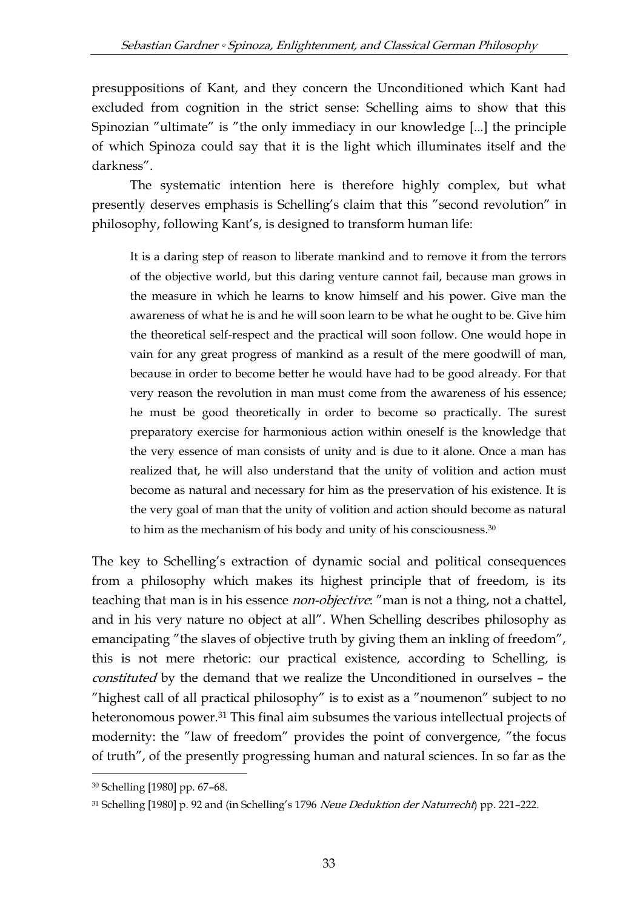presuppositions of Kant, and they concern the Unconditioned which Kant had excluded from cognition in the strict sense: Schelling aims to show that this Spinozian "ultimate" is "the only immediacy in our knowledge [...] the principle of which Spinoza could say that it is the light which illuminates itself and the darkness".

The systematic intention here is therefore highly complex, but what presently deserves emphasis is Schelling's claim that this "second revolution" in philosophy, following Kant's, is designed to transform human life:

It is a daring step of reason to liberate mankind and to remove it from the terrors of the objective world, but this daring venture cannot fail, because man grows in the measure in which he learns to know himself and his power. Give man the awareness of what he is and he will soon learn to be what he ought to be. Give him the theoretical self-respect and the practical will soon follow. One would hope in vain for any great progress of mankind as a result of the mere goodwill of man, because in order to become better he would have had to be good already. For that very reason the revolution in man must come from the awareness of his essence; he must be good theoretically in order to become so practically. The surest preparatory exercise for harmonious action within oneself is the knowledge that the very essence of man consists of unity and is due to it alone. Once a man has realized that, he will also understand that the unity of volition and action must become as natural and necessary for him as the preservation of his existence. It is the very goal of man that the unity of volition and action should become as natural to him as the mechanism of his body and unity of his consciousness.<sup>30</sup>

The key to Schelling's extraction of dynamic social and political consequences from a philosophy which makes its highest principle that of freedom, is its teaching that man is in his essence *non-objective*: "man is not a thing, not a chattel, and in his very nature no object at all". When Schelling describes philosophy as emancipating "the slaves of objective truth by giving them an inkling of freedom", this is not mere rhetoric: our practical existence, according to Schelling, is constituted by the demand that we realize the Unconditioned in ourselves – the "highest call of all practical philosophy" is to exist as a "noumenon" subject to no heteronomous power.<sup>31</sup> This final aim subsumes the various intellectual projects of modernity: the "law of freedom" provides the point of convergence, "the focus of truth", of the presently progressing human and natural sciences. In so far as the

<sup>30</sup> Schelling [1980] pp. 67–68.

<sup>31</sup> Schelling [1980] p. 92 and (in Schelling's 1796 Neue Deduktion der Naturrecht) pp. 221-222.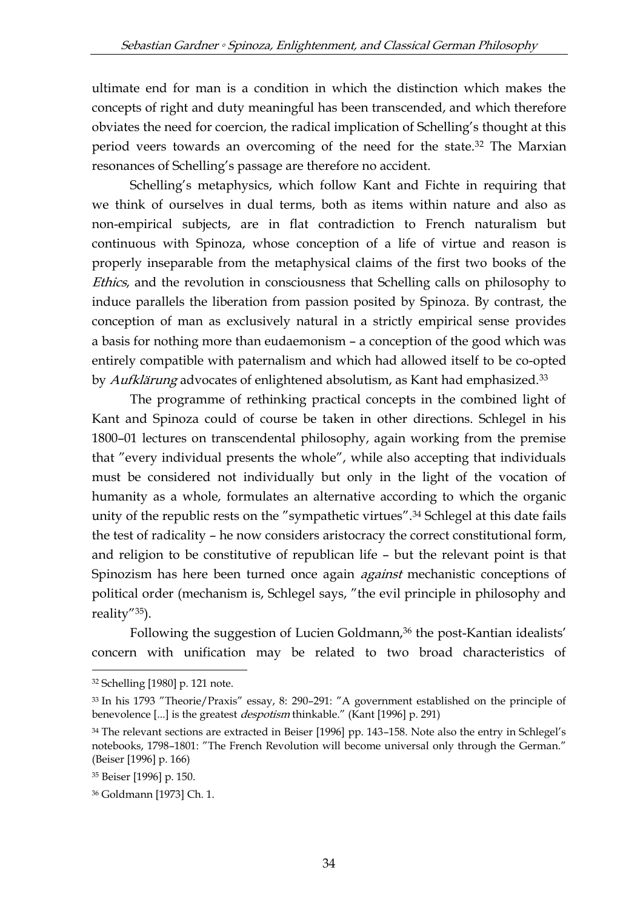ultimate end for man is a condition in which the distinction which makes the concepts of right and duty meaningful has been transcended, and which therefore obviates the need for coercion, the radical implication of Schelling's thought at this period veers towards an overcoming of the need for the state.<sup>32</sup> The Marxian resonances of Schelling's passage are therefore no accident.

Schelling's metaphysics, which follow Kant and Fichte in requiring that we think of ourselves in dual terms, both as items within nature and also as non-empirical subjects, are in flat contradiction to French naturalism but continuous with Spinoza, whose conception of a life of virtue and reason is properly inseparable from the metaphysical claims of the first two books of the Ethics, and the revolution in consciousness that Schelling calls on philosophy to induce parallels the liberation from passion posited by Spinoza. By contrast, the conception of man as exclusively natural in a strictly empirical sense provides a basis for nothing more than eudaemonism – a conception of the good which was entirely compatible with paternalism and which had allowed itself to be co-opted by Aufklärung advocates of enlightened absolutism, as Kant had emphasized.<sup>33</sup>

The programme of rethinking practical concepts in the combined light of Kant and Spinoza could of course be taken in other directions. Schlegel in his 1800–01 lectures on transcendental philosophy, again working from the premise that "every individual presents the whole", while also accepting that individuals must be considered not individually but only in the light of the vocation of humanity as a whole, formulates an alternative according to which the organic unity of the republic rests on the "sympathetic virtues".<sup>34</sup> Schlegel at this date fails the test of radicality – he now considers aristocracy the correct constitutional form, and religion to be constitutive of republican life – but the relevant point is that Spinozism has here been turned once again against mechanistic conceptions of political order (mechanism is, Schlegel says, "the evil principle in philosophy and reality"35).

Following the suggestion of Lucien Goldmann,<sup>36</sup> the post-Kantian idealists' concern with unification may be related to two broad characteristics of

<sup>32</sup> Schelling [1980] p. 121 note.

<sup>33</sup> In his 1793 "Theorie/Praxis" essay, 8: 290–291: "A government established on the principle of benevolence [...] is the greatest *despotism* thinkable." (Kant [1996] p. 291)

<sup>34</sup> The relevant sections are extracted in Beiser [1996] pp. 143–158. Note also the entry in Schlegel's notebooks, 1798–1801: "The French Revolution will become universal only through the German." (Beiser [1996] p. 166)

<sup>35</sup> Beiser [1996] p. 150.

<sup>36</sup> Goldmann [1973] Ch. 1.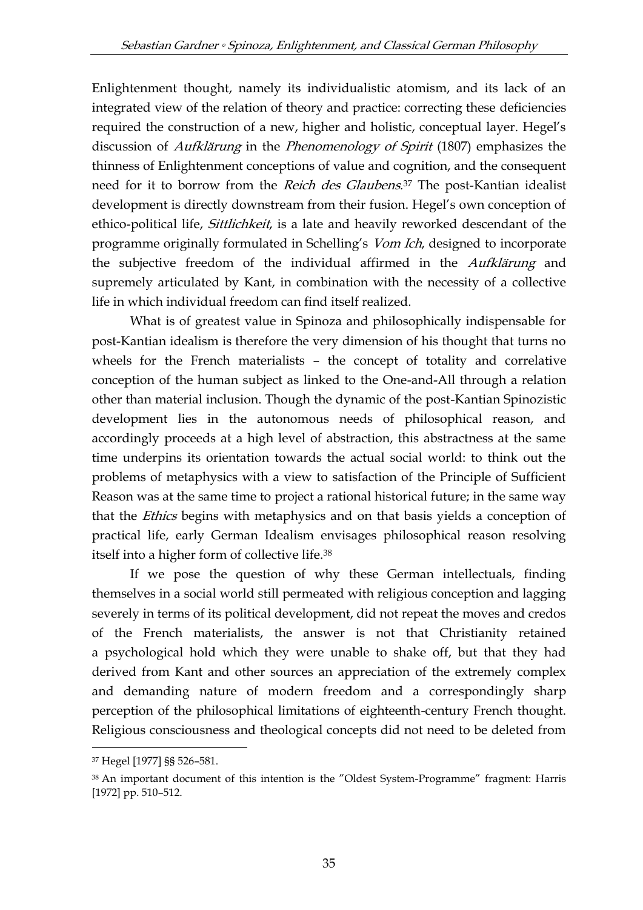Enlightenment thought, namely its individualistic atomism, and its lack of an integrated view of the relation of theory and practice: correcting these deficiencies required the construction of a new, higher and holistic, conceptual layer. Hegel's discussion of *Aufklärung* in the *Phenomenology of Spirit* (1807) emphasizes the thinness of Enlightenment conceptions of value and cognition, and the consequent need for it to borrow from the *Reich des Glaubens*.<sup>37</sup> The post-Kantian idealist development is directly downstream from their fusion. Hegel's own conception of ethico-political life, *Sittlichkeit*, is a late and heavily reworked descendant of the programme originally formulated in Schelling's Vom Ich, designed to incorporate the subjective freedom of the individual affirmed in the *Aufklärung* and supremely articulated by Kant, in combination with the necessity of a collective life in which individual freedom can find itself realized.

What is of greatest value in Spinoza and philosophically indispensable for post-Kantian idealism is therefore the very dimension of his thought that turns no wheels for the French materialists – the concept of totality and correlative conception of the human subject as linked to the One-and-All through a relation other than material inclusion. Though the dynamic of the post-Kantian Spinozistic development lies in the autonomous needs of philosophical reason, and accordingly proceeds at a high level of abstraction, this abstractness at the same time underpins its orientation towards the actual social world: to think out the problems of metaphysics with a view to satisfaction of the Principle of Sufficient Reason was at the same time to project a rational historical future; in the same way that the Ethics begins with metaphysics and on that basis yields a conception of practical life, early German Idealism envisages philosophical reason resolving itself into a higher form of collective life.<sup>38</sup>

If we pose the question of why these German intellectuals, finding themselves in a social world still permeated with religious conception and lagging severely in terms of its political development, did not repeat the moves and credos of the French materialists, the answer is not that Christianity retained a psychological hold which they were unable to shake off, but that they had derived from Kant and other sources an appreciation of the extremely complex and demanding nature of modern freedom and a correspondingly sharp perception of the philosophical limitations of eighteenth-century French thought. Religious consciousness and theological concepts did not need to be deleted from

<sup>37</sup> Hegel [1977] §§ 526–581.

<sup>38</sup> An important document of this intention is the "Oldest System-Programme" fragment: Harris [1972] pp. 510–512.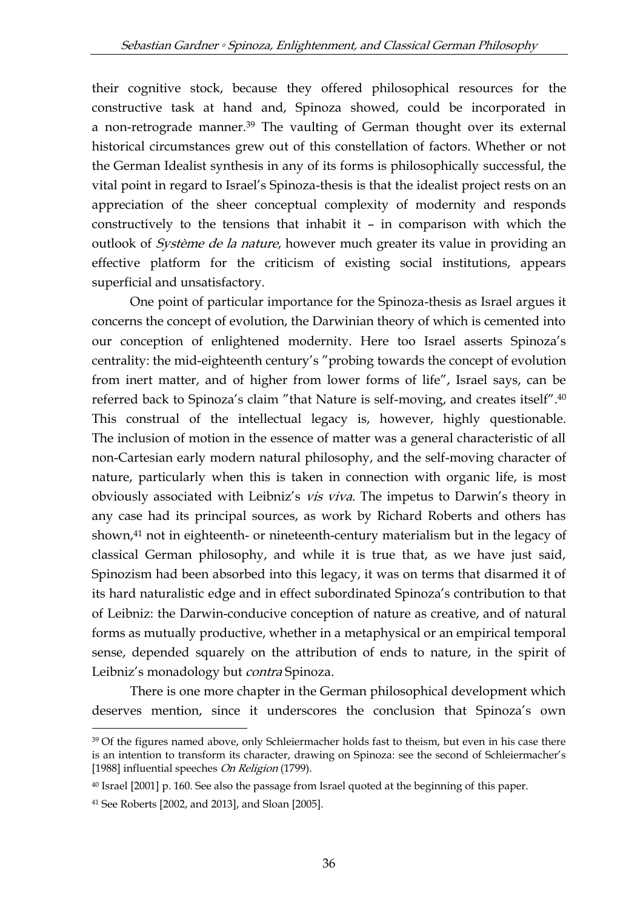their cognitive stock, because they offered philosophical resources for the constructive task at hand and, Spinoza showed, could be incorporated in a non-retrograde manner.<sup>39</sup> The vaulting of German thought over its external historical circumstances grew out of this constellation of factors. Whether or not the German Idealist synthesis in any of its forms is philosophically successful, the vital point in regard to Israel's Spinoza-thesis is that the idealist project rests on an appreciation of the sheer conceptual complexity of modernity and responds constructively to the tensions that inhabit it – in comparison with which the outlook of Système de la nature, however much greater its value in providing an effective platform for the criticism of existing social institutions, appears superficial and unsatisfactory.

One point of particular importance for the Spinoza-thesis as Israel argues it concerns the concept of evolution, the Darwinian theory of which is cemented into our conception of enlightened modernity. Here too Israel asserts Spinoza's centrality: the mid-eighteenth century's "probing towards the concept of evolution from inert matter, and of higher from lower forms of life", Israel says, can be referred back to Spinoza's claim "that Nature is self-moving, and creates itself".<sup>40</sup> This construal of the intellectual legacy is, however, highly questionable. The inclusion of motion in the essence of matter was a general characteristic of all non-Cartesian early modern natural philosophy, and the self-moving character of nature, particularly when this is taken in connection with organic life, is most obviously associated with Leibniz's *vis viva*. The impetus to Darwin's theory in any case had its principal sources, as work by Richard Roberts and others has shown,<sup>41</sup> not in eighteenth- or nineteenth-century materialism but in the legacy of classical German philosophy, and while it is true that, as we have just said, Spinozism had been absorbed into this legacy, it was on terms that disarmed it of its hard naturalistic edge and in effect subordinated Spinoza's contribution to that of Leibniz: the Darwin-conducive conception of nature as creative, and of natural forms as mutually productive, whether in a metaphysical or an empirical temporal sense, depended squarely on the attribution of ends to nature, in the spirit of Leibniz's monadology but *contra* Spinoza.

There is one more chapter in the German philosophical development which deserves mention, since it underscores the conclusion that Spinoza's own

<sup>&</sup>lt;sup>39</sup> Of the figures named above, only Schleiermacher holds fast to theism, but even in his case there is an intention to transform its character, drawing on Spinoza: see the second of Schleiermacher's [1988] influential speeches On Religion (1799).

<sup>40</sup> Israel [2001] p. 160. See also the passage from Israel quoted at the beginning of this paper.

<sup>41</sup> See Roberts [2002, and 2013], and Sloan [2005].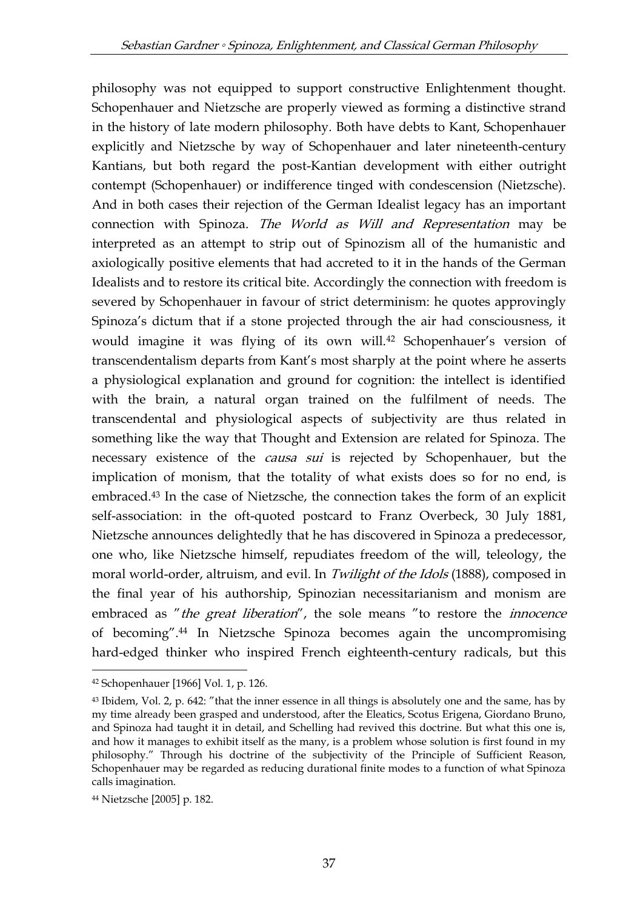philosophy was not equipped to support constructive Enlightenment thought. Schopenhauer and Nietzsche are properly viewed as forming a distinctive strand in the history of late modern philosophy. Both have debts to Kant, Schopenhauer explicitly and Nietzsche by way of Schopenhauer and later nineteenth-century Kantians, but both regard the post-Kantian development with either outright contempt (Schopenhauer) or indifference tinged with condescension (Nietzsche). And in both cases their rejection of the German Idealist legacy has an important connection with Spinoza. The World as Will and Representation may be interpreted as an attempt to strip out of Spinozism all of the humanistic and axiologically positive elements that had accreted to it in the hands of the German Idealists and to restore its critical bite. Accordingly the connection with freedom is severed by Schopenhauer in favour of strict determinism: he quotes approvingly Spinoza's dictum that if a stone projected through the air had consciousness, it would imagine it was flying of its own will.<sup>42</sup> Schopenhauer's version of transcendentalism departs from Kant's most sharply at the point where he asserts a physiological explanation and ground for cognition: the intellect is identified with the brain, a natural organ trained on the fulfilment of needs. The transcendental and physiological aspects of subjectivity are thus related in something like the way that Thought and Extension are related for Spinoza. The necessary existence of the *causa sui* is rejected by Schopenhauer, but the implication of monism, that the totality of what exists does so for no end, is embraced.<sup>43</sup> In the case of Nietzsche, the connection takes the form of an explicit self-association: in the oft-quoted postcard to Franz Overbeck, 30 July 1881, Nietzsche announces delightedly that he has discovered in Spinoza a predecessor, one who, like Nietzsche himself, repudiates freedom of the will, teleology, the moral world-order, altruism, and evil. In Twilight of the Idols (1888), composed in the final year of his authorship, Spinozian necessitarianism and monism are embraced as "the great liberation", the sole means "to restore the *innocence* of becoming".<sup>44</sup> In Nietzsche Spinoza becomes again the uncompromising hard-edged thinker who inspired French eighteenth-century radicals, but this

<sup>42</sup> Schopenhauer [1966] Vol. 1, p. 126.

<sup>43</sup> Ibidem, Vol. 2, p. 642: "that the inner essence in all things is absolutely one and the same, has by my time already been grasped and understood, after the Eleatics, Scotus Erigena, Giordano Bruno, and Spinoza had taught it in detail, and Schelling had revived this doctrine. But what this one is, and how it manages to exhibit itself as the many, is a problem whose solution is first found in my philosophy." Through his doctrine of the subjectivity of the Principle of Sufficient Reason, Schopenhauer may be regarded as reducing durational finite modes to a function of what Spinoza calls imagination.

<sup>44</sup> Nietzsche [2005] p. 182.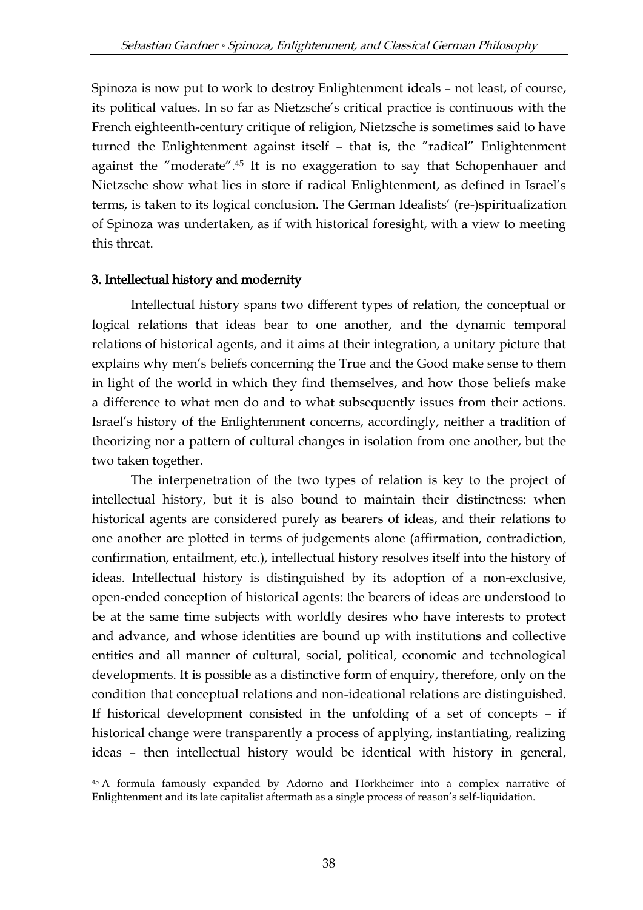Spinoza is now put to work to destroy Enlightenment ideals – not least, of course, its political values. In so far as Nietzsche's critical practice is continuous with the French eighteenth-century critique of religion, Nietzsche is sometimes said to have turned the Enlightenment against itself – that is, the "radical" Enlightenment against the "moderate". <sup>45</sup> It is no exaggeration to say that Schopenhauer and Nietzsche show what lies in store if radical Enlightenment, as defined in Israel's terms, is taken to its logical conclusion. The German Idealists' (re-)spiritualization of Spinoza was undertaken, as if with historical foresight, with a view to meeting this threat.

## 3. Intellectual history and modernity

-

Intellectual history spans two different types of relation, the conceptual or logical relations that ideas bear to one another, and the dynamic temporal relations of historical agents, and it aims at their integration, a unitary picture that explains why men's beliefs concerning the True and the Good make sense to them in light of the world in which they find themselves, and how those beliefs make a difference to what men do and to what subsequently issues from their actions. Israel's history of the Enlightenment concerns, accordingly, neither a tradition of theorizing nor a pattern of cultural changes in isolation from one another, but the two taken together.

The interpenetration of the two types of relation is key to the project of intellectual history, but it is also bound to maintain their distinctness: when historical agents are considered purely as bearers of ideas, and their relations to one another are plotted in terms of judgements alone (affirmation, contradiction, confirmation, entailment, etc.), intellectual history resolves itself into the history of ideas. Intellectual history is distinguished by its adoption of a non-exclusive, open-ended conception of historical agents: the bearers of ideas are understood to be at the same time subjects with worldly desires who have interests to protect and advance, and whose identities are bound up with institutions and collective entities and all manner of cultural, social, political, economic and technological developments. It is possible as a distinctive form of enquiry, therefore, only on the condition that conceptual relations and non-ideational relations are distinguished. If historical development consisted in the unfolding of a set of concepts – if historical change were transparently a process of applying, instantiating, realizing ideas – then intellectual history would be identical with history in general,

<sup>45</sup> A formula famously expanded by Adorno and Horkheimer into a complex narrative of Enlightenment and its late capitalist aftermath as a single process of reason's self-liquidation.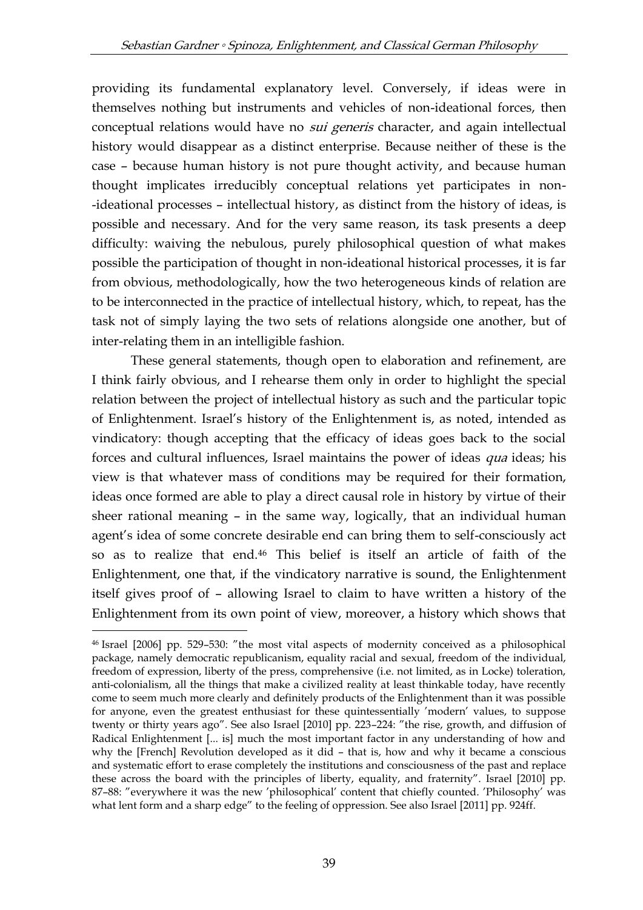providing its fundamental explanatory level. Conversely, if ideas were in themselves nothing but instruments and vehicles of non-ideational forces, then conceptual relations would have no *sui generis* character, and again intellectual history would disappear as a distinct enterprise. Because neither of these is the case – because human history is not pure thought activity, and because human thought implicates irreducibly conceptual relations yet participates in non- -ideational processes – intellectual history, as distinct from the history of ideas, is possible and necessary. And for the very same reason, its task presents a deep difficulty: waiving the nebulous, purely philosophical question of what makes possible the participation of thought in non-ideational historical processes, it is far from obvious, methodologically, how the two heterogeneous kinds of relation are to be interconnected in the practice of intellectual history, which, to repeat, has the task not of simply laying the two sets of relations alongside one another, but of inter-relating them in an intelligible fashion.

These general statements, though open to elaboration and refinement, are I think fairly obvious, and I rehearse them only in order to highlight the special relation between the project of intellectual history as such and the particular topic of Enlightenment. Israel's history of the Enlightenment is, as noted, intended as vindicatory: though accepting that the efficacy of ideas goes back to the social forces and cultural influences, Israel maintains the power of ideas *qua* ideas; his view is that whatever mass of conditions may be required for their formation, ideas once formed are able to play a direct causal role in history by virtue of their sheer rational meaning – in the same way, logically, that an individual human agent's idea of some concrete desirable end can bring them to self-consciously act so as to realize that end.<sup>46</sup> This belief is itself an article of faith of the Enlightenment, one that, if the vindicatory narrative is sound, the Enlightenment itself gives proof of – allowing Israel to claim to have written a history of the Enlightenment from its own point of view, moreover, a history which shows that

<sup>46</sup> Israel [2006] pp. 529–530: "the most vital aspects of modernity conceived as a philosophical package, namely democratic republicanism, equality racial and sexual, freedom of the individual, freedom of expression, liberty of the press, comprehensive (i.e. not limited, as in Locke) toleration, anti-colonialism, all the things that make a civilized reality at least thinkable today, have recently come to seem much more clearly and definitely products of the Enlightenment than it was possible for anyone, even the greatest enthusiast for these quintessentially 'modern' values, to suppose twenty or thirty years ago". See also Israel [2010] pp. 223–224: "the rise, growth, and diffusion of Radical Enlightenment [... is] much the most important factor in any understanding of how and why the [French] Revolution developed as it did – that is, how and why it became a conscious and systematic effort to erase completely the institutions and consciousness of the past and replace these across the board with the principles of liberty, equality, and fraternity". Israel [2010] pp. 87–88: "everywhere it was the new 'philosophical' content that chiefly counted. 'Philosophy' was what lent form and a sharp edge" to the feeling of oppression. See also Israel [2011] pp. 924ff.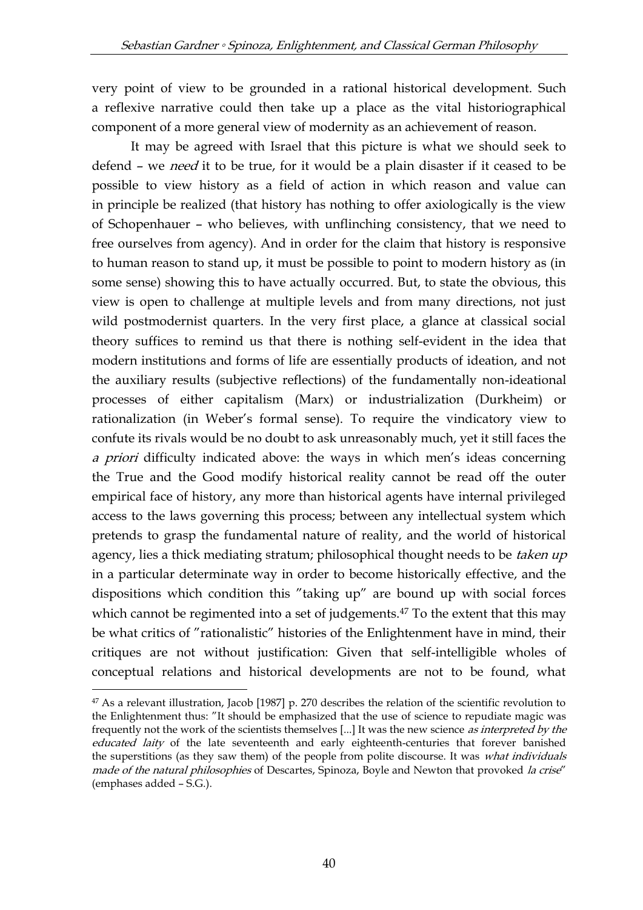very point of view to be grounded in a rational historical development. Such a reflexive narrative could then take up a place as the vital historiographical component of a more general view of modernity as an achievement of reason.

It may be agreed with Israel that this picture is what we should seek to defend – we *need* it to be true, for it would be a plain disaster if it ceased to be possible to view history as a field of action in which reason and value can in principle be realized (that history has nothing to offer axiologically is the view of Schopenhauer – who believes, with unflinching consistency, that we need to free ourselves from agency). And in order for the claim that history is responsive to human reason to stand up, it must be possible to point to modern history as (in some sense) showing this to have actually occurred. But, to state the obvious, this view is open to challenge at multiple levels and from many directions, not just wild postmodernist quarters. In the very first place, a glance at classical social theory suffices to remind us that there is nothing self-evident in the idea that modern institutions and forms of life are essentially products of ideation, and not the auxiliary results (subjective reflections) of the fundamentally non-ideational processes of either capitalism (Marx) or industrialization (Durkheim) or rationalization (in Weber's formal sense). To require the vindicatory view to confute its rivals would be no doubt to ask unreasonably much, yet it still faces the a priori difficulty indicated above: the ways in which men's ideas concerning the True and the Good modify historical reality cannot be read off the outer empirical face of history, any more than historical agents have internal privileged access to the laws governing this process; between any intellectual system which pretends to grasp the fundamental nature of reality, and the world of historical agency, lies a thick mediating stratum; philosophical thought needs to be taken up in a particular determinate way in order to become historically effective, and the dispositions which condition this "taking up" are bound up with social forces which cannot be regimented into a set of judgements.<sup>47</sup> To the extent that this may be what critics of "rationalistic" histories of the Enlightenment have in mind, their critiques are not without justification: Given that self-intelligible wholes of conceptual relations and historical developments are not to be found, what

<sup>47</sup> As a relevant illustration, Jacob [1987] p. 270 describes the relation of the scientific revolution to the Enlightenment thus: "It should be emphasized that the use of science to repudiate magic was frequently not the work of the scientists themselves [...] It was the new science *as interpreted by the* educated laity of the late seventeenth and early eighteenth-centuries that forever banished the superstitions (as they saw them) of the people from polite discourse. It was what individuals made of the natural philosophies of Descartes, Spinoza, Boyle and Newton that provoked la crise" (emphases added – S.G.).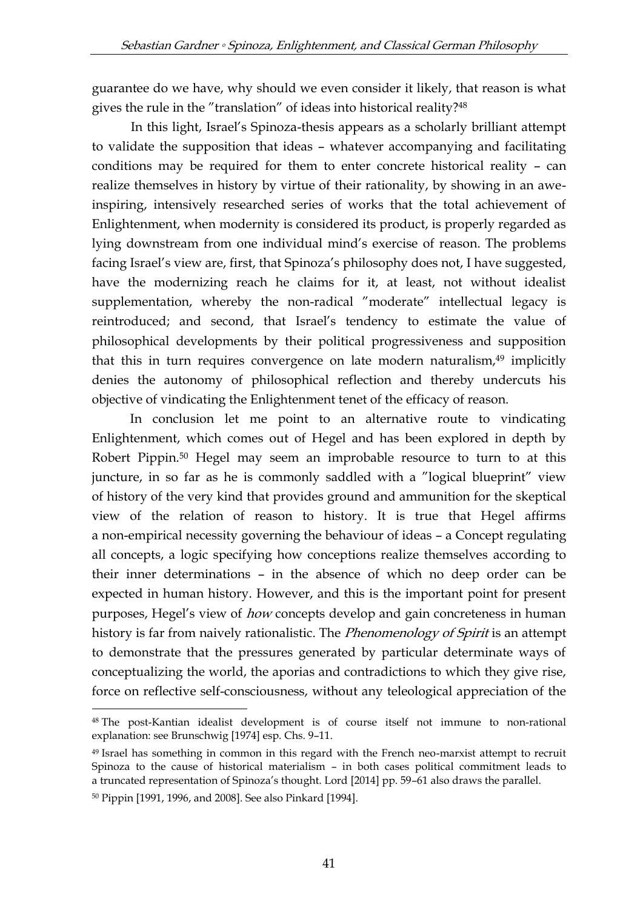guarantee do we have, why should we even consider it likely, that reason is what gives the rule in the "translation" of ideas into historical reality?<sup>48</sup>

In this light, Israel's Spinoza-thesis appears as a scholarly brilliant attempt to validate the supposition that ideas – whatever accompanying and facilitating conditions may be required for them to enter concrete historical reality – can realize themselves in history by virtue of their rationality, by showing in an aweinspiring, intensively researched series of works that the total achievement of Enlightenment, when modernity is considered its product, is properly regarded as lying downstream from one individual mind's exercise of reason. The problems facing Israel's view are, first, that Spinoza's philosophy does not, I have suggested, have the modernizing reach he claims for it, at least, not without idealist supplementation, whereby the non-radical "moderate" intellectual legacy is reintroduced; and second, that Israel's tendency to estimate the value of philosophical developments by their political progressiveness and supposition that this in turn requires convergence on late modern naturalism,<sup>49</sup> implicitly denies the autonomy of philosophical reflection and thereby undercuts his objective of vindicating the Enlightenment tenet of the efficacy of reason.

In conclusion let me point to an alternative route to vindicating Enlightenment, which comes out of Hegel and has been explored in depth by Robert Pippin.<sup>50</sup> Hegel may seem an improbable resource to turn to at this juncture, in so far as he is commonly saddled with a "logical blueprint" view of history of the very kind that provides ground and ammunition for the skeptical view of the relation of reason to history. It is true that Hegel affirms a non-empirical necessity governing the behaviour of ideas – a Concept regulating all concepts, a logic specifying how conceptions realize themselves according to their inner determinations – in the absence of which no deep order can be expected in human history. However, and this is the important point for present purposes, Hegel's view of *how* concepts develop and gain concreteness in human history is far from naively rationalistic. The *Phenomenology of Spirit* is an attempt to demonstrate that the pressures generated by particular determinate ways of conceptualizing the world, the aporias and contradictions to which they give rise, force on reflective self-consciousness, without any teleological appreciation of the

<sup>48</sup> The post-Kantian idealist development is of course itself not immune to non-rational explanation: see Brunschwig [1974] esp. Chs. 9–11.

<sup>49</sup> Israel has something in common in this regard with the French neo-marxist attempt to recruit Spinoza to the cause of historical materialism – in both cases political commitment leads to a truncated representation of Spinoza's thought. Lord [2014] pp. 59–61 also draws the parallel.

<sup>50</sup> Pippin [1991, 1996, and 2008]. See also Pinkard [1994].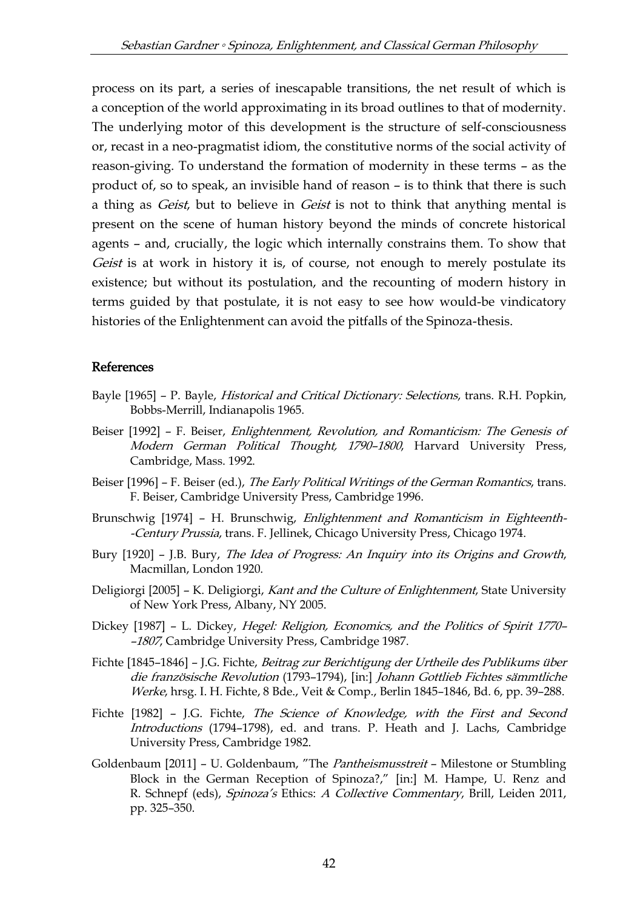process on its part, a series of inescapable transitions, the net result of which is a conception of the world approximating in its broad outlines to that of modernity. The underlying motor of this development is the structure of self-consciousness or, recast in a neo-pragmatist idiom, the constitutive norms of the social activity of reason-giving. To understand the formation of modernity in these terms – as the product of, so to speak, an invisible hand of reason – is to think that there is such a thing as *Geist*, but to believe in *Geist* is not to think that anything mental is present on the scene of human history beyond the minds of concrete historical agents – and, crucially, the logic which internally constrains them. To show that Geist is at work in history it is, of course, not enough to merely postulate its existence; but without its postulation, and the recounting of modern history in terms guided by that postulate, it is not easy to see how would-be vindicatory histories of the Enlightenment can avoid the pitfalls of the Spinoza-thesis.

### References

- Bayle [1965] P. Bayle, *Historical and Critical Dictionary: Selections*, trans. R.H. Popkin, Bobbs-Merrill, Indianapolis 1965.
- Beiser [1992] F. Beiser, *Enlightenment, Revolution, and Romanticism: The Genesis of* Modern German Political Thought, 1790–1800, Harvard University Press, Cambridge, Mass. 1992.
- Beiser [1996] F. Beiser (ed.), The Early Political Writings of the German Romantics, trans. F. Beiser, Cambridge University Press, Cambridge 1996.
- Brunschwig [1974] H. Brunschwig, Enlightenment and Romanticism in Eighteenth- -Century Prussia, trans. F. Jellinek, Chicago University Press, Chicago 1974.
- Bury [1920] J.B. Bury, The Idea of Progress: An Inquiry into its Origins and Growth, Macmillan, London 1920.
- Deligiorgi [2005] K. Deligiorgi, Kant and the Culture of Enlightenment, State University of New York Press, Albany, NY 2005.
- Dickey [1987] L. Dickey, Hegel: Religion, Economics, and the Politics of Spirit 1770-–1807, Cambridge University Press, Cambridge 1987.
- Fichte [1845–1846] J.G. Fichte, Beitrag zur Berichtigung der Urtheile des Publikums über die französische Revolution (1793–1794), [in:] Johann Gottlieb Fichtes sämmtliche Werke, hrsg. I. H. Fichte, 8 Bde., Veit & Comp., Berlin 1845–1846, Bd. 6, pp. 39–288.
- Fichte [1982] J.G. Fichte, The Science of Knowledge, with the First and Second Introductions (1794–1798), ed. and trans. P. Heath and J. Lachs, Cambridge University Press, Cambridge 1982.
- Goldenbaum [2011] U. Goldenbaum, "The Pantheismusstreit Milestone or Stumbling Block in the German Reception of Spinoza?," [in:] M. Hampe, U. Renz and R. Schnepf (eds), Spinoza's Ethics: A Collective Commentary, Brill, Leiden 2011, pp. 325–350.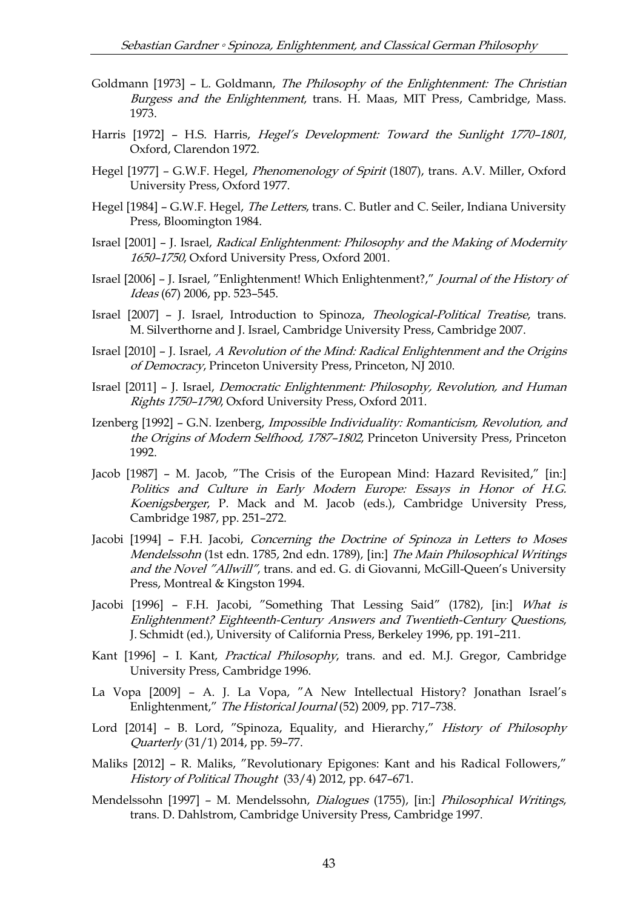- Goldmann [1973] L. Goldmann, The Philosophy of the Enlightenment: The Christian Burgess and the Enlightenment, trans. H. Maas, MIT Press, Cambridge, Mass. 1973.
- Harris [1972] H.S. Harris, *Hegel's Development: Toward the Sunlight 1770-1801*, Oxford, Clarendon 1972.
- Hegel [1977] G.W.F. Hegel, Phenomenology of Spirit (1807), trans. A.V. Miller, Oxford University Press, Oxford 1977.
- Hegel [1984] G.W.F. Hegel, *The Letters*, trans. C. Butler and C. Seiler, Indiana University Press, Bloomington 1984.
- Israel [2001] J. Israel, Radical Enlightenment: Philosophy and the Making of Modernity 1650–1750, Oxford University Press, Oxford 2001.
- Israel [2006] J. Israel, "Enlightenment! Which Enlightenment?," Journal of the History of Ideas (67) 2006, pp. 523–545.
- Israel [2007] J. Israel, Introduction to Spinoza, Theological-Political Treatise, trans. M. Silverthorne and J. Israel, Cambridge University Press, Cambridge 2007.
- Israel [2010] J. Israel, A Revolution of the Mind: Radical Enlightenment and the Origins of Democracy, Princeton University Press, Princeton, NJ 2010.
- Israel [2011] J. Israel, Democratic Enlightenment: Philosophy, Revolution, and Human Rights 1750–1790, Oxford University Press, Oxford 2011.
- Izenberg [1992] G.N. Izenberg, Impossible Individuality: Romanticism, Revolution, and the Origins of Modern Selfhood, 1787–1802, Princeton University Press, Princeton 1992.
- Jacob [1987] M. Jacob, "The Crisis of the European Mind: Hazard Revisited," [in:] Politics and Culture in Early Modern Europe: Essays in Honor of H.G. Koenigsberger, P. Mack and M. Jacob (eds.), Cambridge University Press, Cambridge 1987, pp. 251–272.
- Jacobi [1994] F.H. Jacobi, Concerning the Doctrine of Spinoza in Letters to Moses Mendelssohn (1st edn. 1785, 2nd edn. 1789), [in:] The Main Philosophical Writings and the Novel "Allwill", trans. and ed. G. di Giovanni, McGill-Queen's University Press, Montreal & Kingston 1994.
- Jacobi [1996] F.H. Jacobi, "Something That Lessing Said" (1782), [in:] What is Enlightenment? Eighteenth-Century Answers and Twentieth-Century Questions, J. Schmidt (ed.), University of California Press, Berkeley 1996, pp. 191–211.
- Kant [1996] I. Kant, Practical Philosophy, trans. and ed. M.J. Gregor, Cambridge University Press, Cambridge 1996.
- La Vopa [2009] A. J. La Vopa, "A New Intellectual History? Jonathan Israel's Enlightenment," The Historical Journal (52) 2009, pp. 717–738.
- Lord [2014] B. Lord, "Spinoza, Equality, and Hierarchy," History of Philosophy Quarterly (31/1) 2014, pp. 59–77.
- Maliks [2012] R. Maliks, "Revolutionary Epigones: Kant and his Radical Followers," History of Political Thought (33/4) 2012, pp. 647–671.
- Mendelssohn [1997] M. Mendelssohn, Dialogues (1755), [in:] Philosophical Writings, trans. D. Dahlstrom, Cambridge University Press, Cambridge 1997.